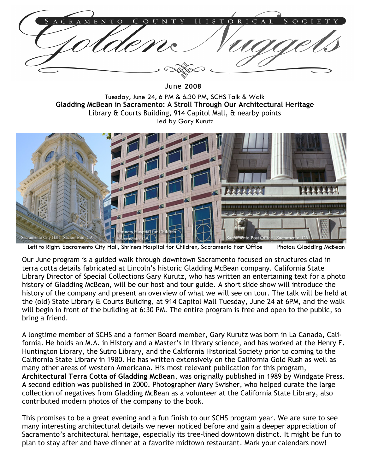$\mathbb{R}$ 

June 2008

Tuesday, June 24, 6 PM & 6:30 PM, SCHS Talk & Walk Gladding McBean in Sacramento: A Stroll Through Our Architectural Heritage Library & Courts Building, 914 Capitol Mall, & nearby points Led by Gary Kurutz



Left to Right: Sacramento City Hall, Shriners Hospital for Children, Sacramento Post Office Photos: Gladding McBean

Our June program is a guided walk through downtown Sacramento focused on structures clad in terra cotta details fabricated at Lincoln's historic Gladding McBean company. California State Library Director of Special Collections Gary Kurutz, who has written an entertaining text for a photo history of Gladding McBean, will be our host and tour guide. A short slide show will introduce the history of the company and present an overview of what we will see on tour. The talk will be held at the (old) State Library & Courts Building, at 914 Capitol Mall Tuesday, June 24 at 6PM, and the walk will begin in front of the building at 6:30 PM. The entire program is free and open to the public, so bring a friend.

A longtime member of SCHS and a former Board member, Gary Kurutz was born in La Canada, California. He holds an M.A. in History and a Master's in library science, and has worked at the Henry E. Huntington Library, the Sutro Library, and the California Historical Society prior to coming to the California State Library in 1980. He has written extensively on the California Gold Rush as well as many other areas of western Americana. His most relevant publication for this program, Architectural Terra Cotta of Gladding McBean, was originally published in 1989 by Windgate Press. A second edition was published in 2000. Photographer Mary Swisher, who helped curate the large collection of negatives from Gladding McBean as a volunteer at the California State Library, also contributed modern photos of the company to the book.

This promises to be a great evening and a fun finish to our SCHS program year. We are sure to see many interesting architectural details we never noticed before and gain a deeper appreciation of Sacramento's architectural heritage, especially its tree-lined downtown district. It might be fun to plan to stay after and have dinner at a favorite midtown restaurant. Mark your calendars now!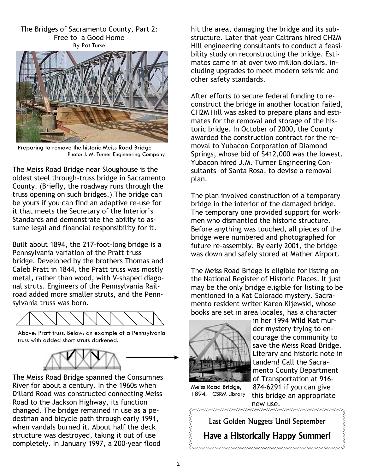The Bridges of Sacramento County, Part 2: Free to a Good Home By Pat Turse



Preparing to remove the historic Meiss Road Bridge Photo: J. M. Turner Engineering Company

The Meiss Road Bridge near Sloughouse is the oldest steel through-truss bridge in Sacramento County. (Briefly, the roadway runs through the truss opening on such bridges.) The bridge can be yours if you can find an adaptive re-use for it that meets the Secretary of the Interior's Standards and demonstrate the ability to assume legal and financial responsibility for it.

Built about 1894, the 217-foot-long bridge is a Pennsylvania variation of the Pratt truss bridge. Developed by the brothers Thomas and Caleb Pratt in 1844, the Pratt truss was mostly metal, rather than wood, with V-shaped diagonal struts. Engineers of the Pennsylvania Railroad added more smaller struts, and the Pennsylvania truss was born.



Above: Pratt truss. Below: an example of a Pennsylvania truss with added short struts darkened.



The Meiss Road Bridge spanned the Consumnes River for about a century. In the 1960s when Dillard Road was constructed connecting Meiss Road to the Jackson Highway, its function changed. The bridge remained in use as a pedestrian and bicycle path through early 1991, when vandals burned it. About half the deck structure was destroyed, taking it out of use completely. In January 1997, a 200-year flood

hit the area, damaging the bridge and its substructure. Later that year Caltrans hired CH2M Hill engineering consultants to conduct a feasibility study on reconstructing the bridge. Estimates came in at over two million dollars, including upgrades to meet modern seismic and other safety standards.

After efforts to secure federal funding to reconstruct the bridge in another location failed, CH2M Hill was asked to prepare plans and estimates for the removal and storage of the historic bridge. In October of 2000, the County awarded the construction contract for the removal to Yubacon Corporation of Diamond Springs, whose bid of \$412,000 was the lowest. Yubacon hired J.M. Turner Engineering Consultants of Santa Rosa, to devise a removal plan.

The plan involved construction of a temporary bridge in the interior of the damaged bridge. The temporary one provided support for workmen who dismantled the historic structure. Before anything was touched, all pieces of the bridge were numbered and photographed for future re-assembly. By early 2001, the bridge was down and safely stored at Mather Airport.

The Meiss Road Bridge is eligible for listing on the National Register of Historic Places. It just may be the only bridge eligible for listing to be mentioned in a Kat Colorado mystery. Sacramento resident writer Karen Kijewski, whose books are set in area locales, has a character



in her 1994 Wild Kat murder mystery trying to encourage the community to save the Meiss Road Bridge. Literary and historic note in tandem! Call the Sacramento County Department of Transportation at 916- 874-6291 if you can give

this bridge an appropriate

Meiss Road Bridge, 1894. CSRM Library

Last Golden Nuggets Until September

new use.

Have a Historically Happy Summer!

muunuunuunuunuunuunuunuunuunuunuun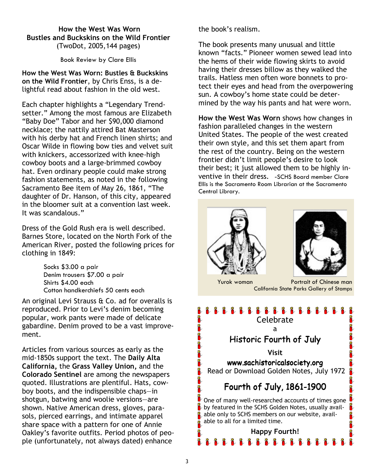#### How the West Was Worn Bustles and Buckskins on the Wild Frontier (TwoDot, 2005,144 pages)

Book Review by Clare Ellis

How the West Was Worn: Bustles & Buckskins on the Wild Frontier, by Chris Enss, is a delightful read about fashion in the old west.

Each chapter highlights a "Legendary Trendsetter." Among the most famous are Elizabeth "Baby Doe" Tabor and her \$90,000 diamond necklace; the nattily attired Bat Masterson with his derby hat and French linen shirts; and Oscar Wilde in flowing bow ties and velvet suit with knickers, accessorized with knee-high cowboy boots and a large-brimmed cowboy hat. Even ordinary people could make strong fashion statements, as noted in the following Sacramento Bee item of May 26, 1861, "The daughter of Dr. Hanson, of this city, appeared in the bloomer suit at a convention last week. It was scandalous."

Dress of the Gold Rush era is well described. Barnes Store, located on the North Fork of the American River, posted the following prices for clothing in 1849:

> Socks \$3.00 a pair Denim trousers \$7.00 a pair Shirts \$4.00 each Cotton handkerchiefs 50 cents each

An original Levi Strauss & Co. ad for overalls is reproduced. Prior to Levi's denim becoming popular, work pants were made of delicate gabardine. Denim proved to be a vast improvement.

Articles from various sources as early as the mid-1850s support the text. The Daily Alta California, the Grass Valley Union, and the Colorado Sentinel are among the newspapers quoted. Illustrations are plentiful. Hats, cowboy boots, and the indispensible chaps—in shotgun, batwing and woolie versions—are shown. Native American dress, gloves, parasols, pierced earrings, and intimate apparel share space with a pattern for one of Annie Oakley's favorite outfits. Period photos of people (unfortunately, not always dated) enhance

the book's realism.

The book presents many unusual and little known "facts." Pioneer women sewed lead into the hems of their wide flowing skirts to avoid having their dresses billow as they walked the trails. Hatless men often wore bonnets to protect their eyes and head from the overpowering sun. A cowboy's home state could be determined by the way his pants and hat were worn.

How the West Was Worn shows how changes in fashion paralleled changes in the western United States. The people of the west created their own style, and this set them apart from the rest of the country. Being on the western frontier didn't limit people's desire to look their best; it just allowed them to be highly inventive in their dress. -SCHS Board member Clare Ellis is the Sacramento Room Librarian at the Sacramento Central Library.





 Yurok woman Portrait of Chinese man California State Parks Gallery of Stamps

# 雀雀雀雀雀雀雀雀雀雀雀雀雀雀雀 在中华的空间 Celebrate

a

### Historic Fourth of July

Visit www.sachistoricalsociety.org Read or Download Golden Notes, July 1972

Fourth of July, 1861-1900

One of many well-researched accounts of times gone by featured in the SCHS Golden Notes, usually available only to SCHS members on our website, available to all for a limited time.

Happy Fourth! 雀雀雀雀雀雀雀雀雀雀雀雀

î

窖